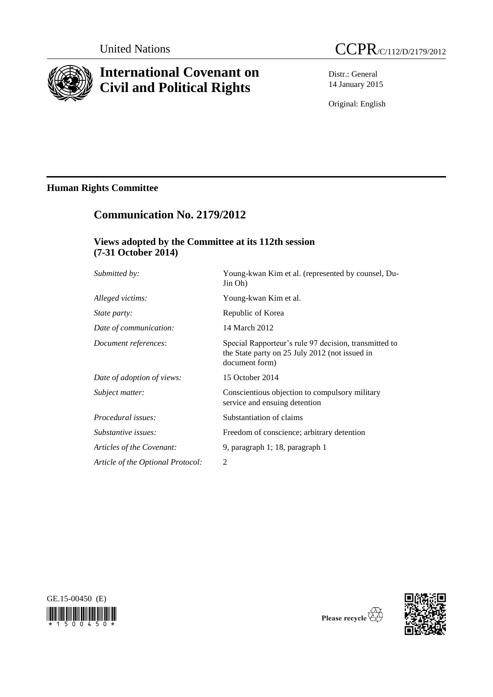

# **International Covenant on Civil and Political Rights**

Distr.: General 14 January 2015

Original: English

# **Human Rights Committee**

# **Communication No. 2179/2012**

# **Views adopted by the Committee at its 112th session (7-31 October 2014)**

| Submitted by:                     | Young-kwan Kim et al. (represented by counsel, Du-<br>Jin Oh)                                                             |
|-----------------------------------|---------------------------------------------------------------------------------------------------------------------------|
| Alleged victims:                  | Young-kwan Kim et al.                                                                                                     |
| <i>State party:</i>               | Republic of Korea                                                                                                         |
| Date of communication:            | 14 March 2012                                                                                                             |
| Document references:              | Special Rapporteur's rule 97 decision, transmitted to<br>the State party on 25 July 2012 (not issued in<br>document form) |
| Date of adoption of views:        | 15 October 2014                                                                                                           |
| Subject matter:                   | Conscientious objection to compulsory military<br>service and ensuing detention                                           |
| <i>Procedural issues:</i>         | Substantiation of claims                                                                                                  |
| Substantive issues:               | Freedom of conscience; arbitrary detention                                                                                |
| Articles of the Covenant:         | 9, paragraph 1; 18, paragraph 1                                                                                           |
| Article of the Optional Protocol: | 2                                                                                                                         |
|                                   |                                                                                                                           |





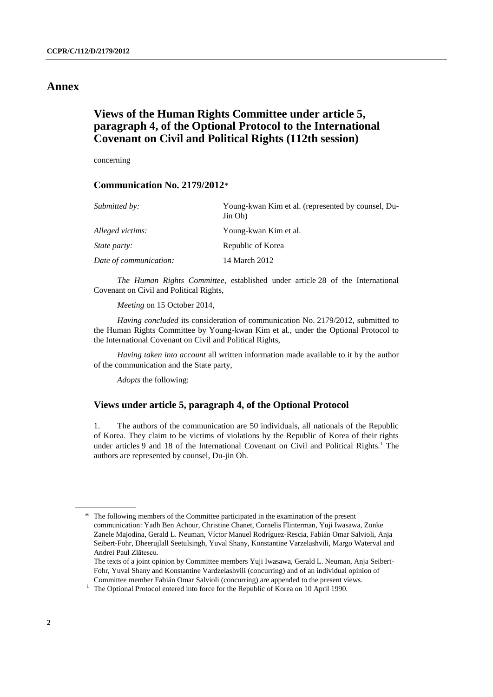# **Annex**

# **Views of the Human Rights Committee under article 5, paragraph 4, of the Optional Protocol to the International Covenant on Civil and Political Rights (112th session)**

concerning

# **Communication No. 2179/2012**\*

| Submitted by:          | Young-kwan Kim et al. (represented by counsel, Du-<br>Jin Oh) |
|------------------------|---------------------------------------------------------------|
| Alleged victims:       | Young-kwan Kim et al.                                         |
| <i>State party:</i>    | Republic of Korea                                             |
| Date of communication: | 14 March 2012                                                 |

*The Human Rights Committee*, established under article 28 of the International Covenant on Civil and Political Rights,

*Meeting* on 15 October 2014,

*Having concluded* its consideration of communication No. 2179/2012, submitted to the Human Rights Committee by Young-kwan Kim et al., under the Optional Protocol to the International Covenant on Civil and Political Rights,

*Having taken into account* all written information made available to it by the author of the communication and the State party,

*Adopts* the following:

# **Views under article 5, paragraph 4, of the Optional Protocol**

1. The authors of the communication are 50 individuals, all nationals of the Republic of Korea. They claim to be victims of violations by the Republic of Korea of their rights under articles 9 and 18 of the International Covenant on Civil and Political Rights.<sup>1</sup> The authors are represented by counsel, Du-jin Oh.

<sup>\*</sup> The following members of the Committee participated in the examination of the present communication: Yadh Ben Achour, Christine Chanet, Cornelis Flinterman, Yuji Iwasawa, Zonke Zanele Majodina, Gerald L. Neuman, Víctor Manuel Rodríguez-Rescia, Fabián Omar Salvioli, Anja Seibert-Fohr, Dheerujlall Seetulsingh, Yuval Shany, Konstantine Varzelashvili, Margo Waterval and Andrei Paul Zlătescu.

The texts of a joint opinion by Committee members Yuji Iwasawa, Gerald L. Neuman, Anja Seibert-Fohr, Yuval Shany and Konstantine Vardzelashvili (concurring) and of an individual opinion of Committee member Fabián Omar Salvioli (concurring) are appended to the present views.

 $1$  The Optional Protocol entered into force for the Republic of Korea on 10 April 1990.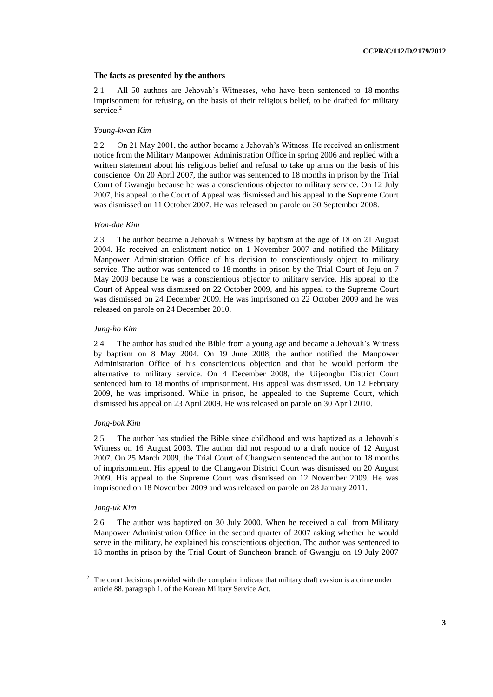#### **The facts as presented by the authors**

2.1 All 50 authors are Jehovah's Witnesses, who have been sentenced to 18 months imprisonment for refusing, on the basis of their religious belief, to be drafted for military service.<sup>2</sup>

#### *Young-kwan Kim*

2.2 On 21 May 2001, the author became a Jehovah's Witness. He received an enlistment notice from the Military Manpower Administration Office in spring 2006 and replied with a written statement about his religious belief and refusal to take up arms on the basis of his conscience. On 20 April 2007, the author was sentenced to 18 months in prison by the Trial Court of Gwangju because he was a conscientious objector to military service. On 12 July 2007, his appeal to the Court of Appeal was dismissed and his appeal to the Supreme Court was dismissed on 11 October 2007. He was released on parole on 30 September 2008.

#### *Won-dae Kim*

2.3 The author became a Jehovah's Witness by baptism at the age of 18 on 21 August 2004. He received an enlistment notice on 1 November 2007 and notified the Military Manpower Administration Office of his decision to conscientiously object to military service. The author was sentenced to 18 months in prison by the Trial Court of Jeju on 7 May 2009 because he was a conscientious objector to military service. His appeal to the Court of Appeal was dismissed on 22 October 2009, and his appeal to the Supreme Court was dismissed on 24 December 2009. He was imprisoned on 22 October 2009 and he was released on parole on 24 December 2010.

#### *Jung-ho Kim*

2.4 The author has studied the Bible from a young age and became a Jehovah's Witness by baptism on 8 May 2004. On 19 June 2008, the author notified the Manpower Administration Office of his conscientious objection and that he would perform the alternative to military service. On 4 December 2008, the Uijeongbu District Court sentenced him to 18 months of imprisonment. His appeal was dismissed. On 12 February 2009, he was imprisoned. While in prison, he appealed to the Supreme Court, which dismissed his appeal on 23 April 2009. He was released on parole on 30 April 2010.

#### *Jong-bok Kim*

2.5 The author has studied the Bible since childhood and was baptized as a Jehovah's Witness on 16 August 2003. The author did not respond to a draft notice of 12 August 2007. On 25 March 2009, the Trial Court of Changwon sentenced the author to 18 months of imprisonment. His appeal to the Changwon District Court was dismissed on 20 August 2009. His appeal to the Supreme Court was dismissed on 12 November 2009. He was imprisoned on 18 November 2009 and was released on parole on 28 January 2011.

#### *Jong-uk Kim*

2.6 The author was baptized on 30 July 2000. When he received a call from Military Manpower Administration Office in the second quarter of 2007 asking whether he would serve in the military, he explained his conscientious objection. The author was sentenced to 18 months in prison by the Trial Court of Suncheon branch of Gwangju on 19 July 2007

<sup>&</sup>lt;sup>2</sup> The court decisions provided with the complaint indicate that military draft evasion is a crime under article 88, paragraph 1, of the Korean Military Service Act.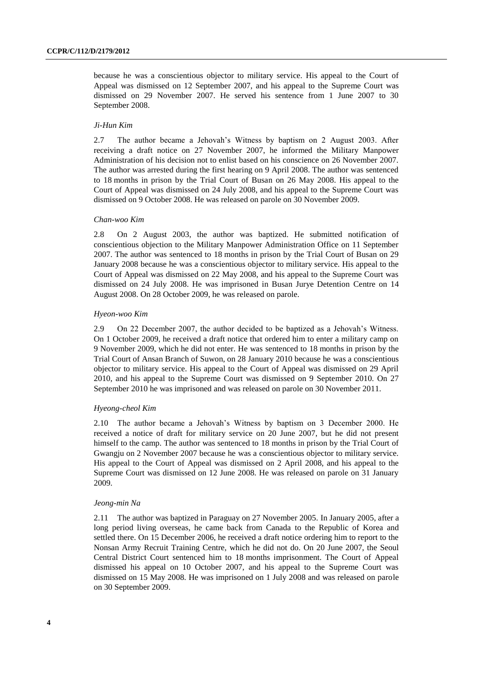because he was a conscientious objector to military service. His appeal to the Court of Appeal was dismissed on 12 September 2007, and his appeal to the Supreme Court was dismissed on 29 November 2007. He served his sentence from 1 June 2007 to 30 September 2008.

#### *Ji-Hun Kim*

2.7 The author became a Jehovah's Witness by baptism on 2 August 2003. After receiving a draft notice on 27 November 2007, he informed the Military Manpower Administration of his decision not to enlist based on his conscience on 26 November 2007. The author was arrested during the first hearing on 9 April 2008. The author was sentenced to 18 months in prison by the Trial Court of Busan on 26 May 2008. His appeal to the Court of Appeal was dismissed on 24 July 2008, and his appeal to the Supreme Court was dismissed on 9 October 2008. He was released on parole on 30 November 2009.

#### *Chan-woo Kim*

2.8 On 2 August 2003, the author was baptized. He submitted notification of conscientious objection to the Military Manpower Administration Office on 11 September 2007. The author was sentenced to 18 months in prison by the Trial Court of Busan on 29 January 2008 because he was a conscientious objector to military service. His appeal to the Court of Appeal was dismissed on 22 May 2008, and his appeal to the Supreme Court was dismissed on 24 July 2008. He was imprisoned in Busan Jurye Detention Centre on 14 August 2008. On 28 October 2009, he was released on parole.

#### *Hyeon-woo Kim*

2.9 On 22 December 2007, the author decided to be baptized as a Jehovah's Witness. On 1 October 2009, he received a draft notice that ordered him to enter a military camp on 9 November 2009, which he did not enter. He was sentenced to 18 months in prison by the Trial Court of Ansan Branch of Suwon, on 28 January 2010 because he was a conscientious objector to military service. His appeal to the Court of Appeal was dismissed on 29 April 2010, and his appeal to the Supreme Court was dismissed on 9 September 2010. On 27 September 2010 he was imprisoned and was released on parole on 30 November 2011.

#### *Hyeong-cheol Kim*

2.10 The author became a Jehovah's Witness by baptism on 3 December 2000. He received a notice of draft for military service on 20 June 2007, but he did not present himself to the camp. The author was sentenced to 18 months in prison by the Trial Court of Gwangju on 2 November 2007 because he was a conscientious objector to military service. His appeal to the Court of Appeal was dismissed on 2 April 2008, and his appeal to the Supreme Court was dismissed on 12 June 2008. He was released on parole on 31 January 2009.

#### *Jeong-min Na*

2.11 The author was baptized in Paraguay on 27 November 2005. In January 2005, after a long period living overseas, he came back from Canada to the Republic of Korea and settled there. On 15 December 2006, he received a draft notice ordering him to report to the Nonsan Army Recruit Training Centre, which he did not do. On 20 June 2007, the Seoul Central District Court sentenced him to 18 months imprisonment. The Court of Appeal dismissed his appeal on 10 October 2007, and his appeal to the Supreme Court was dismissed on 15 May 2008. He was imprisoned on 1 July 2008 and was released on parole on 30 September 2009.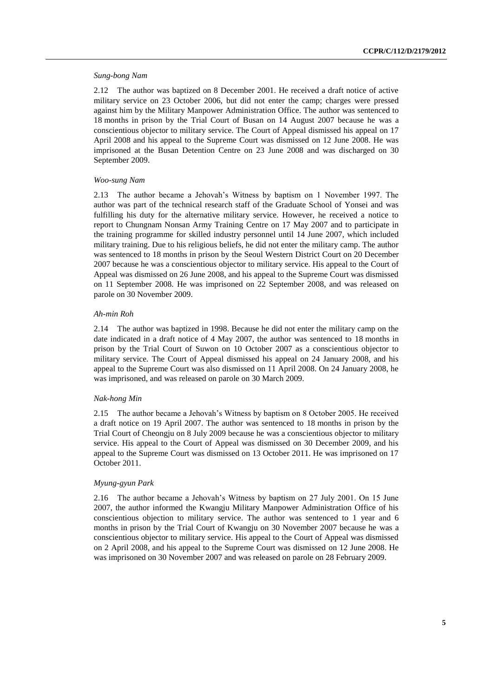#### *Sung-bong Nam*

2.12 The author was baptized on 8 December 2001. He received a draft notice of active military service on 23 October 2006, but did not enter the camp; charges were pressed against him by the Military Manpower Administration Office. The author was sentenced to 18 months in prison by the Trial Court of Busan on 14 August 2007 because he was a conscientious objector to military service. The Court of Appeal dismissed his appeal on 17 April 2008 and his appeal to the Supreme Court was dismissed on 12 June 2008. He was imprisoned at the Busan Detention Centre on 23 June 2008 and was discharged on 30 September 2009.

### *Woo-sung Nam*

2.13 The author became a Jehovah's Witness by baptism on 1 November 1997. The author was part of the technical research staff of the Graduate School of Yonsei and was fulfilling his duty for the alternative military service. However, he received a notice to report to Chungnam Nonsan Army Training Centre on 17 May 2007 and to participate in the training programme for skilled industry personnel until 14 June 2007, which included military training. Due to his religious beliefs, he did not enter the military camp. The author was sentenced to 18 months in prison by the Seoul Western District Court on 20 December 2007 because he was a conscientious objector to military service. His appeal to the Court of Appeal was dismissed on 26 June 2008, and his appeal to the Supreme Court was dismissed on 11 September 2008. He was imprisoned on 22 September 2008, and was released on parole on 30 November 2009.

### *Ah-min Roh*

2.14 The author was baptized in 1998. Because he did not enter the military camp on the date indicated in a draft notice of 4 May 2007, the author was sentenced to 18 months in prison by the Trial Court of Suwon on 10 October 2007 as a conscientious objector to military service. The Court of Appeal dismissed his appeal on 24 January 2008, and his appeal to the Supreme Court was also dismissed on 11 April 2008. On 24 January 2008, he was imprisoned, and was released on parole on 30 March 2009.

#### *Nak-hong Min*

2.15 The author became a Jehovah's Witness by baptism on 8 October 2005. He received a draft notice on 19 April 2007. The author was sentenced to 18 months in prison by the Trial Court of Cheongju on 8 July 2009 because he was a conscientious objector to military service. His appeal to the Court of Appeal was dismissed on 30 December 2009, and his appeal to the Supreme Court was dismissed on 13 October 2011. He was imprisoned on 17 October 2011.

## *Myung-gyun Park*

2.16 The author became a Jehovah's Witness by baptism on 27 July 2001. On 15 June 2007, the author informed the Kwangju Military Manpower Administration Office of his conscientious objection to military service. The author was sentenced to 1 year and 6 months in prison by the Trial Court of Kwangju on 30 November 2007 because he was a conscientious objector to military service. His appeal to the Court of Appeal was dismissed on 2 April 2008, and his appeal to the Supreme Court was dismissed on 12 June 2008. He was imprisoned on 30 November 2007 and was released on parole on 28 February 2009.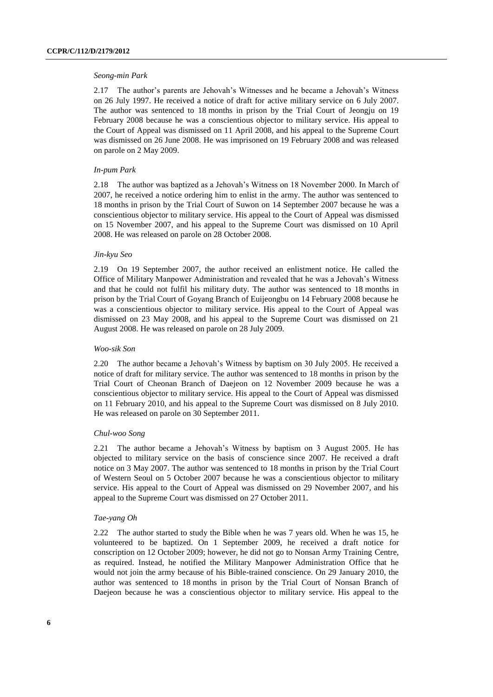#### *Seong-min Park*

2.17 The author's parents are Jehovah's Witnesses and he became a Jehovah's Witness on 26 July 1997. He received a notice of draft for active military service on 6 July 2007. The author was sentenced to 18 months in prison by the Trial Court of Jeongju on 19 February 2008 because he was a conscientious objector to military service. His appeal to the Court of Appeal was dismissed on 11 April 2008, and his appeal to the Supreme Court was dismissed on 26 June 2008. He was imprisoned on 19 February 2008 and was released on parole on 2 May 2009.

#### *In-pum Park*

2.18 The author was baptized as a Jehovah's Witness on 18 November 2000. In March of 2007, he received a notice ordering him to enlist in the army. The author was sentenced to 18 months in prison by the Trial Court of Suwon on 14 September 2007 because he was a conscientious objector to military service. His appeal to the Court of Appeal was dismissed on 15 November 2007, and his appeal to the Supreme Court was dismissed on 10 April 2008. He was released on parole on 28 October 2008.

#### *Jin-kyu Seo*

2.19 On 19 September 2007, the author received an enlistment notice. He called the Office of Military Manpower Administration and revealed that he was a Jehovah's Witness and that he could not fulfil his military duty. The author was sentenced to 18 months in prison by the Trial Court of Goyang Branch of Euijeongbu on 14 February 2008 because he was a conscientious objector to military service. His appeal to the Court of Appeal was dismissed on 23 May 2008, and his appeal to the Supreme Court was dismissed on 21 August 2008. He was released on parole on 28 July 2009.

#### *Woo-sik Son*

2.20 The author became a Jehovah's Witness by baptism on 30 July 2005. He received a notice of draft for military service. The author was sentenced to 18 months in prison by the Trial Court of Cheonan Branch of Daejeon on 12 November 2009 because he was a conscientious objector to military service. His appeal to the Court of Appeal was dismissed on 11 February 2010, and his appeal to the Supreme Court was dismissed on 8 July 2010. He was released on parole on 30 September 2011.

#### *Chul-woo Song*

2.21 The author became a Jehovah's Witness by baptism on 3 August 2005. He has objected to military service on the basis of conscience since 2007. He received a draft notice on 3 May 2007. The author was sentenced to 18 months in prison by the Trial Court of Western Seoul on 5 October 2007 because he was a conscientious objector to military service. His appeal to the Court of Appeal was dismissed on 29 November 2007, and his appeal to the Supreme Court was dismissed on 27 October 2011.

#### *Tae-yang Oh*

2.22 The author started to study the Bible when he was 7 years old. When he was 15, he volunteered to be baptized. On 1 September 2009, he received a draft notice for conscription on 12 October 2009; however, he did not go to Nonsan Army Training Centre, as required. Instead, he notified the Military Manpower Administration Office that he would not join the army because of his Bible-trained conscience. On 29 January 2010, the author was sentenced to 18 months in prison by the Trial Court of Nonsan Branch of Daejeon because he was a conscientious objector to military service. His appeal to the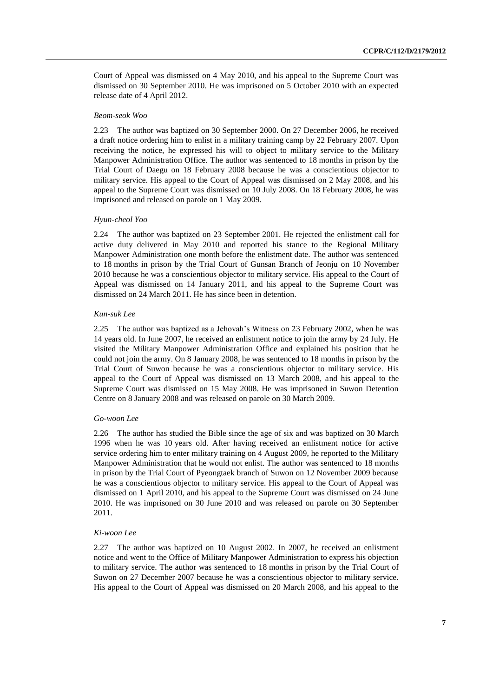Court of Appeal was dismissed on 4 May 2010, and his appeal to the Supreme Court was dismissed on 30 September 2010. He was imprisoned on 5 October 2010 with an expected release date of 4 April 2012.

#### *Beom-seok Woo*

2.23 The author was baptized on 30 September 2000. On 27 December 2006, he received a draft notice ordering him to enlist in a military training camp by 22 February 2007. Upon receiving the notice, he expressed his will to object to military service to the Military Manpower Administration Office. The author was sentenced to 18 months in prison by the Trial Court of Daegu on 18 February 2008 because he was a conscientious objector to military service. His appeal to the Court of Appeal was dismissed on 2 May 2008, and his appeal to the Supreme Court was dismissed on 10 July 2008. On 18 February 2008, he was imprisoned and released on parole on 1 May 2009.

#### *Hyun-cheol Yoo*

2.24 The author was baptized on 23 September 2001. He rejected the enlistment call for active duty delivered in May 2010 and reported his stance to the Regional Military Manpower Administration one month before the enlistment date. The author was sentenced to 18 months in prison by the Trial Court of Gunsan Branch of Jeonju on 10 November 2010 because he was a conscientious objector to military service. His appeal to the Court of Appeal was dismissed on 14 January 2011, and his appeal to the Supreme Court was dismissed on 24 March 2011. He has since been in detention.

#### *Kun-suk Lee*

2.25 The author was baptized as a Jehovah's Witness on 23 February 2002, when he was 14 years old. In June 2007, he received an enlistment notice to join the army by 24 July. He visited the Military Manpower Administration Office and explained his position that he could not join the army. On 8 January 2008, he was sentenced to 18 months in prison by the Trial Court of Suwon because he was a conscientious objector to military service. His appeal to the Court of Appeal was dismissed on 13 March 2008, and his appeal to the Supreme Court was dismissed on 15 May 2008. He was imprisoned in Suwon Detention Centre on 8 January 2008 and was released on parole on 30 March 2009.

#### *Go-woon Lee*

2.26 The author has studied the Bible since the age of six and was baptized on 30 March 1996 when he was 10 years old. After having received an enlistment notice for active service ordering him to enter military training on 4 August 2009, he reported to the Military Manpower Administration that he would not enlist. The author was sentenced to 18 months in prison by the Trial Court of Pyeongtaek branch of Suwon on 12 November 2009 because he was a conscientious objector to military service. His appeal to the Court of Appeal was dismissed on 1 April 2010, and his appeal to the Supreme Court was dismissed on 24 June 2010. He was imprisoned on 30 June 2010 and was released on parole on 30 September 2011.

#### *Ki-woon Lee*

2.27 The author was baptized on 10 August 2002. In 2007, he received an enlistment notice and went to the Office of Military Manpower Administration to express his objection to military service. The author was sentenced to 18 months in prison by the Trial Court of Suwon on 27 December 2007 because he was a conscientious objector to military service. His appeal to the Court of Appeal was dismissed on 20 March 2008, and his appeal to the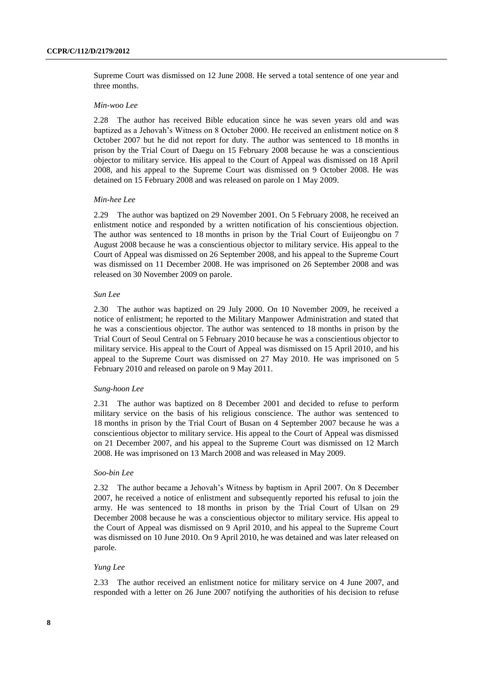Supreme Court was dismissed on 12 June 2008. He served a total sentence of one year and three months.

#### *Min-woo Lee*

2.28 The author has received Bible education since he was seven years old and was baptized as a Jehovah's Witness on 8 October 2000. He received an enlistment notice on 8 October 2007 but he did not report for duty. The author was sentenced to 18 months in prison by the Trial Court of Daegu on 15 February 2008 because he was a conscientious objector to military service. His appeal to the Court of Appeal was dismissed on 18 April 2008, and his appeal to the Supreme Court was dismissed on 9 October 2008. He was detained on 15 February 2008 and was released on parole on 1 May 2009.

#### *Min-hee Lee*

2.29 The author was baptized on 29 November 2001. On 5 February 2008, he received an enlistment notice and responded by a written notification of his conscientious objection. The author was sentenced to 18 months in prison by the Trial Court of Euijeongbu on 7 August 2008 because he was a conscientious objector to military service. His appeal to the Court of Appeal was dismissed on 26 September 2008, and his appeal to the Supreme Court was dismissed on 11 December 2008. He was imprisoned on 26 September 2008 and was released on 30 November 2009 on parole.

#### *Sun Lee*

2.30 The author was baptized on 29 July 2000. On 10 November 2009, he received a notice of enlistment; he reported to the Military Manpower Administration and stated that he was a conscientious objector. The author was sentenced to 18 months in prison by the Trial Court of Seoul Central on 5 February 2010 because he was a conscientious objector to military service. His appeal to the Court of Appeal was dismissed on 15 April 2010, and his appeal to the Supreme Court was dismissed on 27 May 2010. He was imprisoned on 5 February 2010 and released on parole on 9 May 2011.

#### *Sung-hoon Lee*

2.31 The author was baptized on 8 December 2001 and decided to refuse to perform military service on the basis of his religious conscience. The author was sentenced to 18 months in prison by the Trial Court of Busan on 4 September 2007 because he was a conscientious objector to military service. His appeal to the Court of Appeal was dismissed on 21 December 2007, and his appeal to the Supreme Court was dismissed on 12 March 2008. He was imprisoned on 13 March 2008 and was released in May 2009.

#### *Soo-bin Lee*

2.32 The author became a Jehovah's Witness by baptism in April 2007. On 8 December 2007, he received a notice of enlistment and subsequently reported his refusal to join the army. He was sentenced to 18 months in prison by the Trial Court of Ulsan on 29 December 2008 because he was a conscientious objector to military service. His appeal to the Court of Appeal was dismissed on 9 April 2010, and his appeal to the Supreme Court was dismissed on 10 June 2010. On 9 April 2010, he was detained and was later released on parole.

## *Yung Lee*

2.33 The author received an enlistment notice for military service on 4 June 2007, and responded with a letter on 26 June 2007 notifying the authorities of his decision to refuse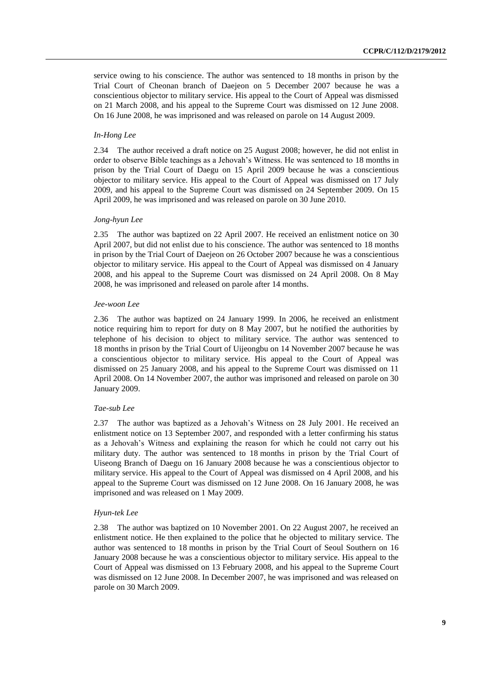service owing to his conscience. The author was sentenced to 18 months in prison by the Trial Court of Cheonan branch of Daejeon on 5 December 2007 because he was a conscientious objector to military service. His appeal to the Court of Appeal was dismissed on 21 March 2008, and his appeal to the Supreme Court was dismissed on 12 June 2008. On 16 June 2008, he was imprisoned and was released on parole on 14 August 2009.

#### *In-Hong Lee*

2.34 The author received a draft notice on 25 August 2008; however, he did not enlist in order to observe Bible teachings as a Jehovah's Witness. He was sentenced to 18 months in prison by the Trial Court of Daegu on 15 April 2009 because he was a conscientious objector to military service. His appeal to the Court of Appeal was dismissed on 17 July 2009, and his appeal to the Supreme Court was dismissed on 24 September 2009. On 15 April 2009, he was imprisoned and was released on parole on 30 June 2010.

#### *Jong-hyun Lee*

2.35 The author was baptized on 22 April 2007. He received an enlistment notice on 30 April 2007, but did not enlist due to his conscience. The author was sentenced to 18 months in prison by the Trial Court of Daejeon on 26 October 2007 because he was a conscientious objector to military service. His appeal to the Court of Appeal was dismissed on 4 January 2008, and his appeal to the Supreme Court was dismissed on 24 April 2008. On 8 May 2008, he was imprisoned and released on parole after 14 months.

#### *Jee-woon Lee*

2.36 The author was baptized on 24 January 1999. In 2006, he received an enlistment notice requiring him to report for duty on 8 May 2007, but he notified the authorities by telephone of his decision to object to military service. The author was sentenced to 18 months in prison by the Trial Court of Uijeongbu on 14 November 2007 because he was a conscientious objector to military service. His appeal to the Court of Appeal was dismissed on 25 January 2008, and his appeal to the Supreme Court was dismissed on 11 April 2008. On 14 November 2007, the author was imprisoned and released on parole on 30 January 2009.

#### *Tae-sub Lee*

2.37 The author was baptized as a Jehovah's Witness on 28 July 2001. He received an enlistment notice on 13 September 2007, and responded with a letter confirming his status as a Jehovah's Witness and explaining the reason for which he could not carry out his military duty. The author was sentenced to 18 months in prison by the Trial Court of Uiseong Branch of Daegu on 16 January 2008 because he was a conscientious objector to military service. His appeal to the Court of Appeal was dismissed on 4 April 2008, and his appeal to the Supreme Court was dismissed on 12 June 2008. On 16 January 2008, he was imprisoned and was released on 1 May 2009.

#### *Hyun-tek Lee*

2.38 The author was baptized on 10 November 2001. On 22 August 2007, he received an enlistment notice. He then explained to the police that he objected to military service. The author was sentenced to 18 months in prison by the Trial Court of Seoul Southern on 16 January 2008 because he was a conscientious objector to military service. His appeal to the Court of Appeal was dismissed on 13 February 2008, and his appeal to the Supreme Court was dismissed on 12 June 2008. In December 2007, he was imprisoned and was released on parole on 30 March 2009.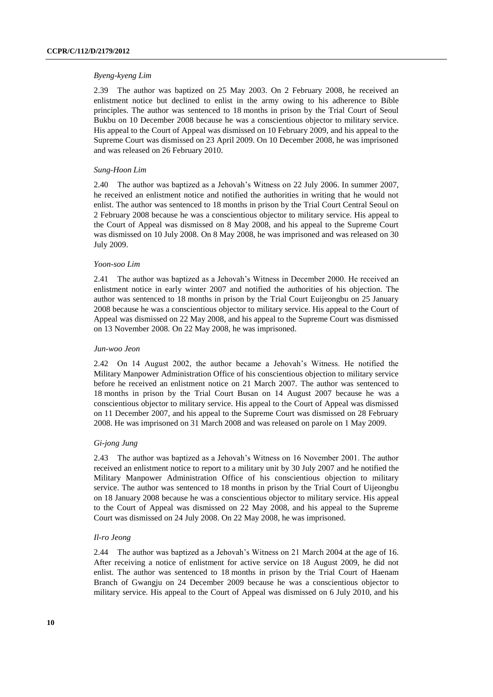#### *Byeng-kyeng Lim*

2.39 The author was baptized on 25 May 2003. On 2 February 2008, he received an enlistment notice but declined to enlist in the army owing to his adherence to Bible principles. The author was sentenced to 18 months in prison by the Trial Court of Seoul Bukbu on 10 December 2008 because he was a conscientious objector to military service. His appeal to the Court of Appeal was dismissed on 10 February 2009, and his appeal to the Supreme Court was dismissed on 23 April 2009. On 10 December 2008, he was imprisoned and was released on 26 February 2010.

#### *Sung-Hoon Lim*

2.40 The author was baptized as a Jehovah's Witness on 22 July 2006. In summer 2007, he received an enlistment notice and notified the authorities in writing that he would not enlist. The author was sentenced to 18 months in prison by the Trial Court Central Seoul on 2 February 2008 because he was a conscientious objector to military service. His appeal to the Court of Appeal was dismissed on 8 May 2008, and his appeal to the Supreme Court was dismissed on 10 July 2008. On 8 May 2008, he was imprisoned and was released on 30 July 2009.

#### *Yoon-soo Lim*

2.41 The author was baptized as a Jehovah's Witness in December 2000. He received an enlistment notice in early winter 2007 and notified the authorities of his objection. The author was sentenced to 18 months in prison by the Trial Court Euijeongbu on 25 January 2008 because he was a conscientious objector to military service. His appeal to the Court of Appeal was dismissed on 22 May 2008, and his appeal to the Supreme Court was dismissed on 13 November 2008. On 22 May 2008, he was imprisoned.

#### *Jun-woo Jeon*

2.42 On 14 August 2002, the author became a Jehovah's Witness. He notified the Military Manpower Administration Office of his conscientious objection to military service before he received an enlistment notice on 21 March 2007. The author was sentenced to 18 months in prison by the Trial Court Busan on 14 August 2007 because he was a conscientious objector to military service. His appeal to the Court of Appeal was dismissed on 11 December 2007, and his appeal to the Supreme Court was dismissed on 28 February 2008. He was imprisoned on 31 March 2008 and was released on parole on 1 May 2009.

### *Gi-jong Jung*

2.43 The author was baptized as a Jehovah's Witness on 16 November 2001. The author received an enlistment notice to report to a military unit by 30 July 2007 and he notified the Military Manpower Administration Office of his conscientious objection to military service. The author was sentenced to 18 months in prison by the Trial Court of Uijeongbu on 18 January 2008 because he was a conscientious objector to military service. His appeal to the Court of Appeal was dismissed on 22 May 2008, and his appeal to the Supreme Court was dismissed on 24 July 2008. On 22 May 2008, he was imprisoned.

#### *Il-ro Jeong*

2.44 The author was baptized as a Jehovah's Witness on 21 March 2004 at the age of 16. After receiving a notice of enlistment for active service on 18 August 2009, he did not enlist. The author was sentenced to 18 months in prison by the Trial Court of Haenam Branch of Gwangju on 24 December 2009 because he was a conscientious objector to military service. His appeal to the Court of Appeal was dismissed on 6 July 2010, and his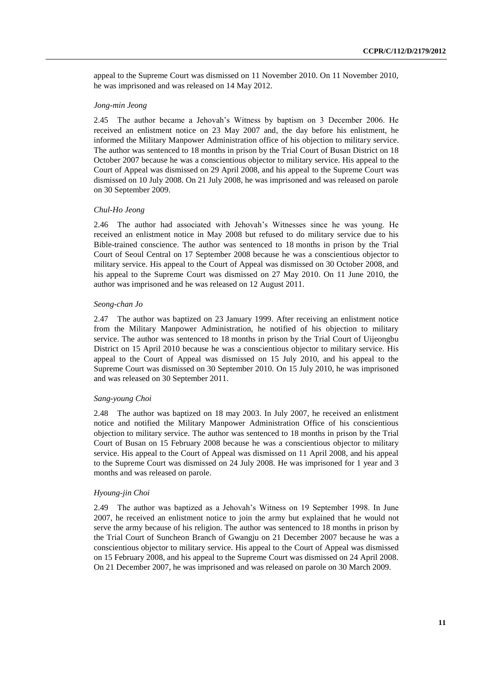appeal to the Supreme Court was dismissed on 11 November 2010. On 11 November 2010, he was imprisoned and was released on 14 May 2012.

#### *Jong-min Jeong*

2.45 The author became a Jehovah's Witness by baptism on 3 December 2006. He received an enlistment notice on 23 May 2007 and, the day before his enlistment, he informed the Military Manpower Administration office of his objection to military service. The author was sentenced to 18 months in prison by the Trial Court of Busan District on 18 October 2007 because he was a conscientious objector to military service. His appeal to the Court of Appeal was dismissed on 29 April 2008, and his appeal to the Supreme Court was dismissed on 10 July 2008. On 21 July 2008, he was imprisoned and was released on parole on 30 September 2009.

#### *Chul-Ho Jeong*

2.46 The author had associated with Jehovah's Witnesses since he was young. He received an enlistment notice in May 2008 but refused to do military service due to his Bible-trained conscience. The author was sentenced to 18 months in prison by the Trial Court of Seoul Central on 17 September 2008 because he was a conscientious objector to military service. His appeal to the Court of Appeal was dismissed on 30 October 2008, and his appeal to the Supreme Court was dismissed on 27 May 2010. On 11 June 2010, the author was imprisoned and he was released on 12 August 2011.

### *Seong-chan Jo*

2.47 The author was baptized on 23 January 1999. After receiving an enlistment notice from the Military Manpower Administration, he notified of his objection to military service. The author was sentenced to 18 months in prison by the Trial Court of Uijeongbu District on 15 April 2010 because he was a conscientious objector to military service. His appeal to the Court of Appeal was dismissed on 15 July 2010, and his appeal to the Supreme Court was dismissed on 30 September 2010. On 15 July 2010, he was imprisoned and was released on 30 September 2011.

#### *Sang-young Choi*

2.48 The author was baptized on 18 may 2003. In July 2007, he received an enlistment notice and notified the Military Manpower Administration Office of his conscientious objection to military service. The author was sentenced to 18 months in prison by the Trial Court of Busan on 15 February 2008 because he was a conscientious objector to military service. His appeal to the Court of Appeal was dismissed on 11 April 2008, and his appeal to the Supreme Court was dismissed on 24 July 2008. He was imprisoned for 1 year and 3 months and was released on parole.

### *Hyoung-jin Choi*

2.49 The author was baptized as a Jehovah's Witness on 19 September 1998. In June 2007, he received an enlistment notice to join the army but explained that he would not serve the army because of his religion. The author was sentenced to 18 months in prison by the Trial Court of Suncheon Branch of Gwangju on 21 December 2007 because he was a conscientious objector to military service. His appeal to the Court of Appeal was dismissed on 15 February 2008, and his appeal to the Supreme Court was dismissed on 24 April 2008. On 21 December 2007, he was imprisoned and was released on parole on 30 March 2009.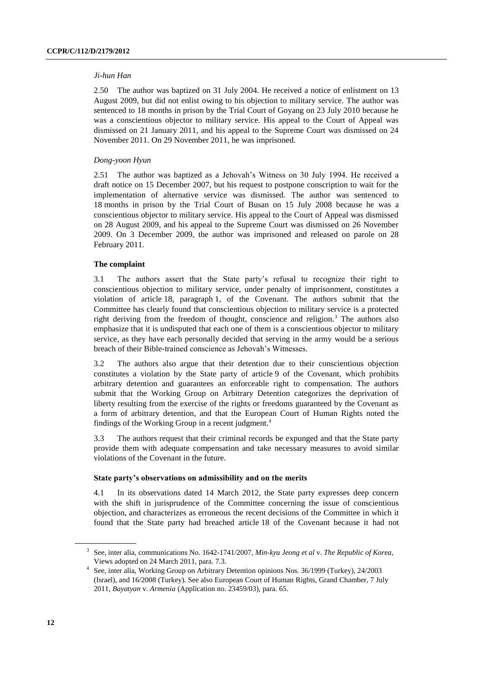#### *Ji-hun Han*

2.50 The author was baptized on 31 July 2004. He received a notice of enlistment on 13 August 2009, but did not enlist owing to his objection to military service. The author was sentenced to 18 months in prison by the Trial Court of Goyang on 23 July 2010 because he was a conscientious objector to military service. His appeal to the Court of Appeal was dismissed on 21 January 2011, and his appeal to the Supreme Court was dismissed on 24 November 2011. On 29 November 2011, he was imprisoned.

#### *Dong-yoon Hyun*

2.51 The author was baptized as a Jehovah's Witness on 30 July 1994. He received a draft notice on 15 December 2007, but his request to postpone conscription to wait for the implementation of alternative service was dismissed. The author was sentenced to 18 months in prison by the Trial Court of Busan on 15 July 2008 because he was a conscientious objector to military service. His appeal to the Court of Appeal was dismissed on 28 August 2009, and his appeal to the Supreme Court was dismissed on 26 November 2009. On 3 December 2009, the author was imprisoned and released on parole on 28 February 2011.

#### **The complaint**

3.1 The authors assert that the State party's refusal to recognize their right to conscientious objection to military service, under penalty of imprisonment, constitutes a violation of article 18, paragraph 1, of the Covenant. The authors submit that the Committee has clearly found that conscientious objection to military service is a protected right deriving from the freedom of thought, conscience and religion.<sup>3</sup> The authors also emphasize that it is undisputed that each one of them is a conscientious objector to military service, as they have each personally decided that serving in the army would be a serious breach of their Bible-trained conscience as Jehovah's Witnesses.

3.2 The authors also argue that their detention due to their conscientious objection constitutes a violation by the State party of article 9 of the Covenant, which prohibits arbitrary detention and guarantees an enforceable right to compensation. The authors submit that the Working Group on Arbitrary Detention categorizes the deprivation of liberty resulting from the exercise of the rights or freedoms guaranteed by the Covenant as a form of arbitrary detention, and that the European Court of Human Rights noted the findings of the Working Group in a recent judgment.<sup>4</sup>

3.3 The authors request that their criminal records be expunged and that the State party provide them with adequate compensation and take necessary measures to avoid similar violations of the Covenant in the future.

#### **State party's observations on admissibility and on the merits**

4.1 In its observations dated 14 March 2012, the State party expresses deep concern with the shift in jurisprudence of the Committee concerning the issue of conscientious objection, and characterizes as erroneous the recent decisions of the Committee in which it found that the State party had breached article 18 of the Covenant because it had not

<sup>3</sup> See, inter alia, communications No. 1642-1741/2007, *Min-kyu Jeong et al* v. *The Republic of Korea*, Views adopted on 24 March 2011, para. 7.3.

<sup>4</sup> See, inter alia, Working Group on Arbitrary Detention opinions Nos. 36/1999 (Turkey), 24/2003 (Israel), and 16/2008 (Turkey). See also European Court of Human Rights, Grand Chamber, 7 July 2011, *Bayatyan* v. *Armenia* (Application no. 23459/03), para. 65.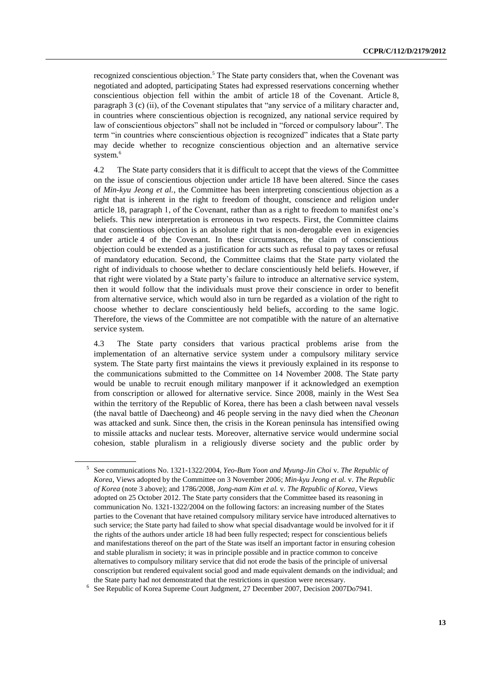recognized conscientious objection.<sup>5</sup> The State party considers that, when the Covenant was negotiated and adopted, participating States had expressed reservations concerning whether conscientious objection fell within the ambit of article 18 of the Covenant. Article 8, paragraph 3 (c) (ii), of the Covenant stipulates that "any service of a military character and, in countries where conscientious objection is recognized, any national service required by law of conscientious objectors" shall not be included in "forced or compulsory labour". The term "in countries where conscientious objection is recognized" indicates that a State party may decide whether to recognize conscientious objection and an alternative service system.<sup>6</sup>

4.2 The State party considers that it is difficult to accept that the views of the Committee on the issue of conscientious objection under article 18 have been altered. Since the cases of *Min-kyu Jeong et al.*, the Committee has been interpreting conscientious objection as a right that is inherent in the right to freedom of thought, conscience and religion under article 18, paragraph 1, of the Covenant, rather than as a right to freedom to manifest one's beliefs. This new interpretation is erroneous in two respects. First, the Committee claims that conscientious objection is an absolute right that is non-derogable even in exigencies under article 4 of the Covenant. In these circumstances, the claim of conscientious objection could be extended as a justification for acts such as refusal to pay taxes or refusal of mandatory education. Second, the Committee claims that the State party violated the right of individuals to choose whether to declare conscientiously held beliefs. However, if that right were violated by a State party's failure to introduce an alternative service system, then it would follow that the individuals must prove their conscience in order to benefit from alternative service, which would also in turn be regarded as a violation of the right to choose whether to declare conscientiously held beliefs, according to the same logic. Therefore, the views of the Committee are not compatible with the nature of an alternative service system.

4.3 The State party considers that various practical problems arise from the implementation of an alternative service system under a compulsory military service system. The State party first maintains the views it previously explained in its response to the communications submitted to the Committee on 14 November 2008. The State party would be unable to recruit enough military manpower if it acknowledged an exemption from conscription or allowed for alternative service. Since 2008, mainly in the West Sea within the territory of the Republic of Korea, there has been a clash between naval vessels (the naval battle of Daecheong) and 46 people serving in the navy died when the *Cheonan* was attacked and sunk. Since then, the crisis in the Korean peninsula has intensified owing to missile attacks and nuclear tests. Moreover, alternative service would undermine social cohesion, stable pluralism in a religiously diverse society and the public order by

<sup>5</sup> See communications No. 1321-1322/2004, *Yeo-Bum Yoon and Myung-Jin Choi* v. *The Republic of Korea*, Views adopted by the Committee on 3 November 2006; *Min-kyu Jeong et al.* v. *The Republic of Korea* (note 3 above); and 1786/2008, *Jong-nam Kim et al.* v. *The Republic of Korea*, Views adopted on 25 October 2012. The State party considers that the Committee based its reasoning in communication No. 1321-1322/2004 on the following factors: an increasing number of the States parties to the Covenant that have retained compulsory military service have introduced alternatives to such service; the State party had failed to show what special disadvantage would be involved for it if the rights of the authors under article 18 had been fully respected; respect for conscientious beliefs and manifestations thereof on the part of the State was itself an important factor in ensuring cohesion and stable pluralism in society; it was in principle possible and in practice common to conceive alternatives to compulsory military service that did not erode the basis of the principle of universal conscription but rendered equivalent social good and made equivalent demands on the individual; and the State party had not demonstrated that the restrictions in question were necessary.

<sup>&</sup>lt;sup>6</sup> See Republic of Korea Supreme Court Judgment, 27 December 2007, Decision 2007Do7941.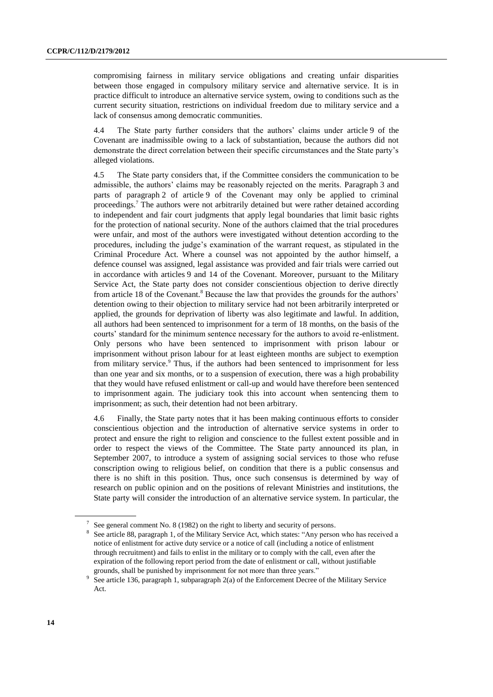compromising fairness in military service obligations and creating unfair disparities between those engaged in compulsory military service and alternative service. It is in practice difficult to introduce an alternative service system, owing to conditions such as the current security situation, restrictions on individual freedom due to military service and a lack of consensus among democratic communities.

4.4 The State party further considers that the authors' claims under article 9 of the Covenant are inadmissible owing to a lack of substantiation, because the authors did not demonstrate the direct correlation between their specific circumstances and the State party's alleged violations.

4.5 The State party considers that, if the Committee considers the communication to be admissible, the authors' claims may be reasonably rejected on the merits. Paragraph 3 and parts of paragraph 2 of article 9 of the Covenant may only be applied to criminal proceedings.<sup>7</sup> The authors were not arbitrarily detained but were rather detained according to independent and fair court judgments that apply legal boundaries that limit basic rights for the protection of national security. None of the authors claimed that the trial procedures were unfair, and most of the authors were investigated without detention according to the procedures, including the judge's examination of the warrant request, as stipulated in the Criminal Procedure Act. Where a counsel was not appointed by the author himself, a defence counsel was assigned, legal assistance was provided and fair trials were carried out in accordance with articles 9 and 14 of the Covenant. Moreover, pursuant to the Military Service Act, the State party does not consider conscientious objection to derive directly from article 18 of the Covenant.<sup>8</sup> Because the law that provides the grounds for the authors' detention owing to their objection to military service had not been arbitrarily interpreted or applied, the grounds for deprivation of liberty was also legitimate and lawful. In addition, all authors had been sentenced to imprisonment for a term of 18 months, on the basis of the courts' standard for the minimum sentence necessary for the authors to avoid re-enlistment. Only persons who have been sentenced to imprisonment with prison labour or imprisonment without prison labour for at least eighteen months are subject to exemption from military service.<sup>9</sup> Thus, if the authors had been sentenced to imprisonment for less than one year and six months, or to a suspension of execution, there was a high probability that they would have refused enlistment or call-up and would have therefore been sentenced to imprisonment again. The judiciary took this into account when sentencing them to imprisonment; as such, their detention had not been arbitrary.

4.6 Finally, the State party notes that it has been making continuous efforts to consider conscientious objection and the introduction of alternative service systems in order to protect and ensure the right to religion and conscience to the fullest extent possible and in order to respect the views of the Committee. The State party announced its plan, in September 2007, to introduce a system of assigning social services to those who refuse conscription owing to religious belief, on condition that there is a public consensus and there is no shift in this position. Thus, once such consensus is determined by way of research on public opinion and on the positions of relevant Ministries and institutions, the State party will consider the introduction of an alternative service system. In particular, the

 $7$  See general comment No. 8 (1982) on the right to liberty and security of persons.

<sup>&</sup>lt;sup>8</sup> See article 88, paragraph 1, of the Military Service Act, which states: "Any person who has received a notice of enlistment for active duty service or a notice of call (including a notice of enlistment through recruitment) and fails to enlist in the military or to comply with the call, even after the expiration of the following report period from the date of enlistment or call, without justifiable grounds, shall be punished by imprisonment for not more than three years."

<sup>9</sup> See article 136, paragraph 1, subparagraph 2(a) of the Enforcement Decree of the Military Service Act.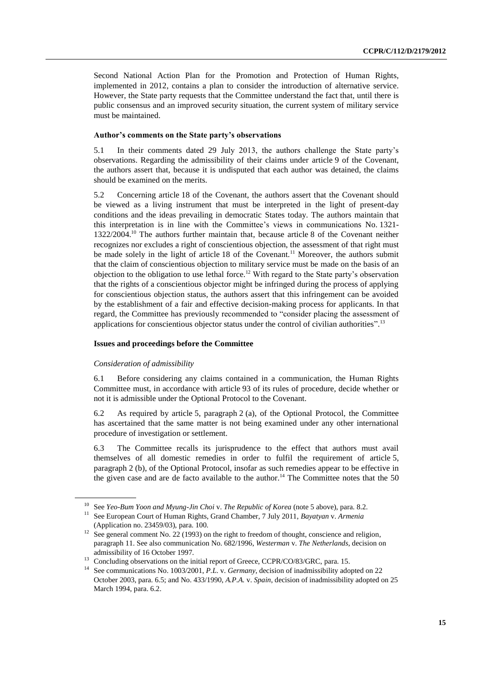Second National Action Plan for the Promotion and Protection of Human Rights, implemented in 2012, contains a plan to consider the introduction of alternative service. However, the State party requests that the Committee understand the fact that, until there is public consensus and an improved security situation, the current system of military service must be maintained.

### **Author's comments on the State party's observations**

5.1 In their comments dated 29 July 2013, the authors challenge the State party's observations. Regarding the admissibility of their claims under article 9 of the Covenant, the authors assert that, because it is undisputed that each author was detained, the claims should be examined on the merits.

5.2 Concerning article 18 of the Covenant, the authors assert that the Covenant should be viewed as a living instrument that must be interpreted in the light of present-day conditions and the ideas prevailing in democratic States today. The authors maintain that this interpretation is in line with the Committee's views in communications No. 1321-  $1322/2004<sup>10</sup>$  The authors further maintain that, because article 8 of the Covenant neither recognizes nor excludes a right of conscientious objection, the assessment of that right must be made solely in the light of article 18 of the Covenant.<sup>11</sup> Moreover, the authors submit that the claim of conscientious objection to military service must be made on the basis of an objection to the obligation to use lethal force.<sup>12</sup> With regard to the State party's observation that the rights of a conscientious objector might be infringed during the process of applying for conscientious objection status, the authors assert that this infringement can be avoided by the establishment of a fair and effective decision-making process for applicants. In that regard, the Committee has previously recommended to "consider placing the assessment of applications for conscientious objector status under the control of civilian authorities".<sup>13</sup>

#### **Issues and proceedings before the Committee**

#### *Consideration of admissibility*

6.1 Before considering any claims contained in a communication, the Human Rights Committee must, in accordance with article 93 of its rules of procedure, decide whether or not it is admissible under the Optional Protocol to the Covenant.

6.2 As required by article 5, paragraph 2 (a), of the Optional Protocol, the Committee has ascertained that the same matter is not being examined under any other international procedure of investigation or settlement.

6.3 The Committee recalls its jurisprudence to the effect that authors must avail themselves of all domestic remedies in order to fulfil the requirement of article 5, paragraph 2 (b), of the Optional Protocol, insofar as such remedies appear to be effective in the given case and are de facto available to the author.<sup>14</sup> The Committee notes that the 50

<sup>10</sup> See *Yeo-Bum Yoon and Myung-Jin Choi* v. *The Republic of Korea* (note 5 above), para. 8.2. <sup>11</sup> See European Court of Human Rights, Grand Chamber, 7 July 2011, *Bayatyan* v. *Armenia* (Application no. 23459/03), para. 100.

<sup>&</sup>lt;sup>12</sup> See general comment No. 22 (1993) on the right to freedom of thought, conscience and religion, paragraph 11. See also communication No. 682/1996, *Westerman* v. *The Netherlands*, decision on admissibility of 16 October 1997.

<sup>&</sup>lt;sup>13</sup> Concluding observations on the initial report of Greece, CCPR/CO/83/GRC, para. 15.

<sup>14</sup> See communications No. 1003/2001, *P.L.* v. *Germany*, decision of inadmissibility adopted on 22 October 2003, para. 6.5; and No. 433/1990, *A.P.A.* v. *Spain*, decision of inadmissibility adopted on 25 March 1994, para. 6.2.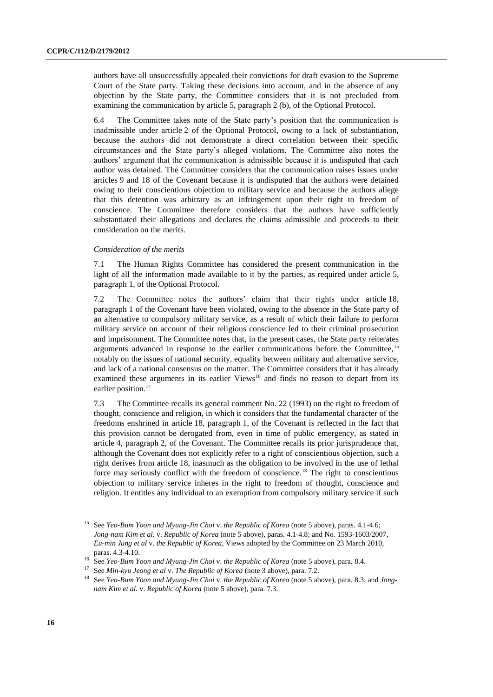authors have all unsuccessfully appealed their convictions for draft evasion to the Supreme Court of the State party. Taking these decisions into account, and in the absence of any objection by the State party, the Committee considers that it is not precluded from examining the communication by article 5, paragraph 2 (b), of the Optional Protocol.

6.4 The Committee takes note of the State party's position that the communication is inadmissible under article 2 of the Optional Protocol, owing to a lack of substantiation, because the authors did not demonstrate a direct correlation between their specific circumstances and the State party's alleged violations. The Committee also notes the authors' argument that the communication is admissible because it is undisputed that each author was detained. The Committee considers that the communication raises issues under articles 9 and 18 of the Covenant because it is undisputed that the authors were detained owing to their conscientious objection to military service and because the authors allege that this detention was arbitrary as an infringement upon their right to freedom of conscience. The Committee therefore considers that the authors have sufficiently substantiated their allegations and declares the claims admissible and proceeds to their consideration on the merits.

### *Consideration of the merits*

7.1 The Human Rights Committee has considered the present communication in the light of all the information made available to it by the parties, as required under article 5, paragraph 1, of the Optional Protocol.

7.2 The Committee notes the authors' claim that their rights under article 18, paragraph 1 of the Covenant have been violated, owing to the absence in the State party of an alternative to compulsory military service, as a result of which their failure to perform military service on account of their religious conscience led to their criminal prosecution and imprisonment. The Committee notes that, in the present cases, the State party reiterates arguments advanced in response to the earlier communications before the Committee,<sup>15</sup> notably on the issues of national security, equality between military and alternative service, and lack of a national consensus on the matter. The Committee considers that it has already examined these arguments in its earlier Views<sup>16</sup> and finds no reason to depart from its earlier position.<sup>17</sup>

7.3 The Committee recalls its general comment No. 22 (1993) on the right to freedom of thought, conscience and religion, in which it considers that the fundamental character of the freedoms enshrined in article 18, paragraph 1, of the Covenant is reflected in the fact that this provision cannot be derogated from, even in time of public emergency, as stated in article 4, paragraph 2, of the Covenant. The Committee recalls its prior jurisprudence that, although the Covenant does not explicitly refer to a right of conscientious objection, such a right derives from article 18, inasmuch as the obligation to be involved in the use of lethal force may seriously conflict with the freedom of conscience.<sup>18</sup> The right to conscientious objection to military service inheres in the right to freedom of thought, conscience and religion. It entitles any individual to an exemption from compulsory military service if such

<sup>15</sup> See *Yeo-Bum Yoon and Myung-Jin Choi* v. *the Republic of Korea* (note 5 above), paras. 4.1-4.6; *Jong-nam Kim et al.* v. *Republic of Korea* (note 5 above), paras. 4.1-4.8; and No. 1593-1603/2007, *Eu-min Jung et al* v. *the Republic of Korea*, Views adopted by the Committee on 23 March 2010, paras. 4.3-4.10.

<sup>16</sup> See *Yeo-Bum Yoon and Myung-Jin Choi* v. *the Republic of Korea* (note 5 above), para. 8.4.

<sup>17</sup> See *Min-kyu Jeong et al* v. *The Republic of Korea* (note 3 above), para. 7.2.

<sup>18</sup> See *Yeo-Bum Yoon and Myung-Jin Choi* v. *the Republic of Korea* (note 5 above), para. 8.3; and *Jongnam Kim et al.* v. *Republic of Korea* (note 5 above), para. 7.3.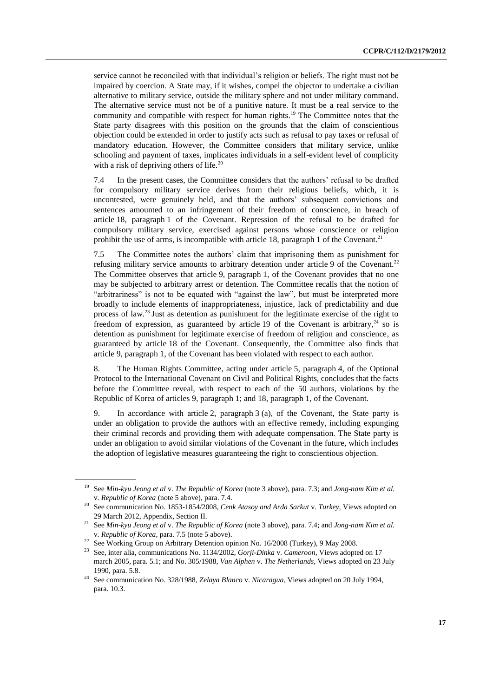service cannot be reconciled with that individual's religion or beliefs. The right must not be impaired by coercion. A State may, if it wishes, compel the objector to undertake a civilian alternative to military service, outside the military sphere and not under military command. The alternative service must not be of a punitive nature. It must be a real service to the community and compatible with respect for human rights.<sup>19</sup> The Committee notes that the State party disagrees with this position on the grounds that the claim of conscientious objection could be extended in order to justify acts such as refusal to pay taxes or refusal of mandatory education. However, the Committee considers that military service, unlike schooling and payment of taxes, implicates individuals in a self-evident level of complicity with a risk of depriving others of life. $^{20}$ 

7.4 In the present cases, the Committee considers that the authors' refusal to be drafted for compulsory military service derives from their religious beliefs, which, it is uncontested, were genuinely held, and that the authors' subsequent convictions and sentences amounted to an infringement of their freedom of conscience, in breach of article 18, paragraph 1 of the Covenant. Repression of the refusal to be drafted for compulsory military service, exercised against persons whose conscience or religion prohibit the use of arms, is incompatible with article 18, paragraph 1 of the Covenant.<sup>21</sup>

7.5 The Committee notes the authors' claim that imprisoning them as punishment for refusing military service amounts to arbitrary detention under article 9 of the Covenant.<sup>22</sup> The Committee observes that article 9, paragraph 1, of the Covenant provides that no one may be subjected to arbitrary arrest or detention. The Committee recalls that the notion of "arbitrariness" is not to be equated with "against the law", but must be interpreted more broadly to include elements of inappropriateness, injustice, lack of predictability and due process of law.<sup>23</sup> Just as detention as punishment for the legitimate exercise of the right to freedom of expression, as guaranteed by article 19 of the Covenant is arbitrary,  $24$  so is detention as punishment for legitimate exercise of freedom of religion and conscience, as guaranteed by article 18 of the Covenant. Consequently, the Committee also finds that article 9, paragraph 1, of the Covenant has been violated with respect to each author.

8. The Human Rights Committee, acting under article 5, paragraph 4, of the Optional Protocol to the International Covenant on Civil and Political Rights, concludes that the facts before the Committee reveal, with respect to each of the 50 authors, violations by the Republic of Korea of articles 9, paragraph 1; and 18, paragraph 1, of the Covenant.

9. In accordance with article 2, paragraph 3 (a), of the Covenant, the State party is under an obligation to provide the authors with an effective remedy, including expunging their criminal records and providing them with adequate compensation. The State party is under an obligation to avoid similar violations of the Covenant in the future, which includes the adoption of legislative measures guaranteeing the right to conscientious objection.

<sup>19</sup> See *Min-kyu Jeong et al* v. *The Republic of Korea* (note 3 above), para. 7.3; and *Jong-nam Kim et al.*  v. *Republic of Korea* (note 5 above), para. 7.4.

<sup>20</sup> See communication No. 1853-1854/2008, *Cenk Atasoy and Arda Sarkut* v. *Turkey*, Views adopted on 29 March 2012, Appendix, Section II.

<sup>21</sup> See *Min-kyu Jeong et al* v. *The Republic of Korea* (note 3 above), para. 7.4; and *Jong-nam Kim et al.*  v. *Republic of Korea*, para. 7.5 (note 5 above).

<sup>&</sup>lt;sup>22</sup> See Working Group on Arbitrary Detention opinion No. 16/2008 (Turkey), 9 May 2008.

<sup>23</sup> See, inter alia, communications No. 1134/2002, *Gorji-Dinka* v. *Cameroon*, Views adopted on 17 march 2005, para. 5.1; and No. 305/1988, *Van Alphen* v. *The Netherlands*, Views adopted on 23 July 1990, para. 5.8.

<sup>24</sup> See communication No. 328/1988, *Zelaya Blanco* v. *Nicaragua*, Views adopted on 20 July 1994, para. 10.3.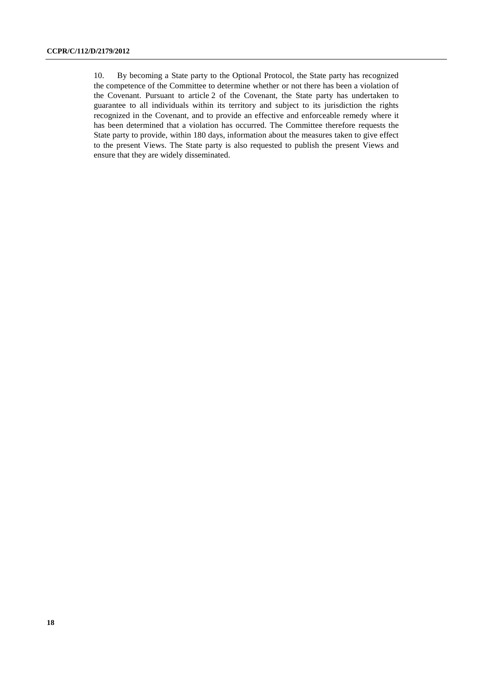10. By becoming a State party to the Optional Protocol, the State party has recognized the competence of the Committee to determine whether or not there has been a violation of the Covenant. Pursuant to article 2 of the Covenant, the State party has undertaken to guarantee to all individuals within its territory and subject to its jurisdiction the rights recognized in the Covenant, and to provide an effective and enforceable remedy where it has been determined that a violation has occurred. The Committee therefore requests the State party to provide, within 180 days, information about the measures taken to give effect to the present Views. The State party is also requested to publish the present Views and ensure that they are widely disseminated.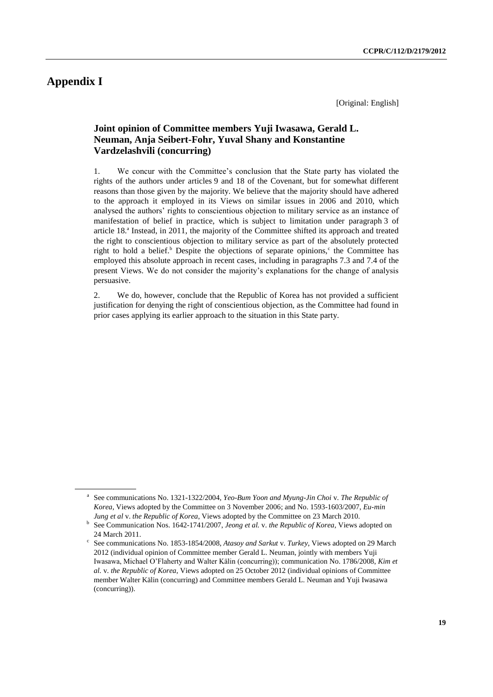# **Appendix I**

[Original: English]

# **Joint opinion of Committee members Yuji Iwasawa, Gerald L. Neuman, Anja Seibert-Fohr, Yuval Shany and Konstantine Vardzelashvili (concurring)**

1. We concur with the Committee's conclusion that the State party has violated the rights of the authors under articles 9 and 18 of the Covenant, but for somewhat different reasons than those given by the majority. We believe that the majority should have adhered to the approach it employed in its Views on similar issues in 2006 and 2010, which analysed the authors' rights to conscientious objection to military service as an instance of manifestation of belief in practice, which is subject to limitation under paragraph 3 of article 18.<sup>a</sup> Instead, in 2011, the majority of the Committee shifted its approach and treated the right to conscientious objection to military service as part of the absolutely protected right to hold a belief.<sup>b</sup> Despite the objections of separate opinions,<sup>c</sup> the Committee has employed this absolute approach in recent cases, including in paragraphs 7.3 and 7.4 of the present Views. We do not consider the majority's explanations for the change of analysis persuasive.

2. We do, however, conclude that the Republic of Korea has not provided a sufficient justification for denying the right of conscientious objection, as the Committee had found in prior cases applying its earlier approach to the situation in this State party.

a See communications No. 1321-1322/2004, *Yeo-Bum Yoon and Myung-Jin Choi* v. *The Republic of Korea*, Views adopted by the Committee on 3 November 2006; and No. 1593-1603/2007, *Eu-min Jung et al* v. *the Republic of Korea*, Views adopted by the Committee on 23 March 2010.

<sup>&</sup>lt;sup>b</sup> See Communication Nos. 1642-1741/2007, *Jeong et al. v. the Republic of Korea*, Views adopted on 24 March 2011.

c See communications No. 1853-1854/2008, *Atasoy and Sarkut* v. *Turkey*, Views adopted on 29 March 2012 (individual opinion of Committee member Gerald L. Neuman, jointly with members Yuji Iwasawa, Michael O'Flaherty and Walter Kälin (concurring)); communication No. 1786/2008, *Kim et al.* v. *the Republic of Korea*, Views adopted on 25 October 2012 (individual opinions of Committee member Walter Kälin (concurring) and Committee members Gerald L. Neuman and Yuji Iwasawa (concurring)).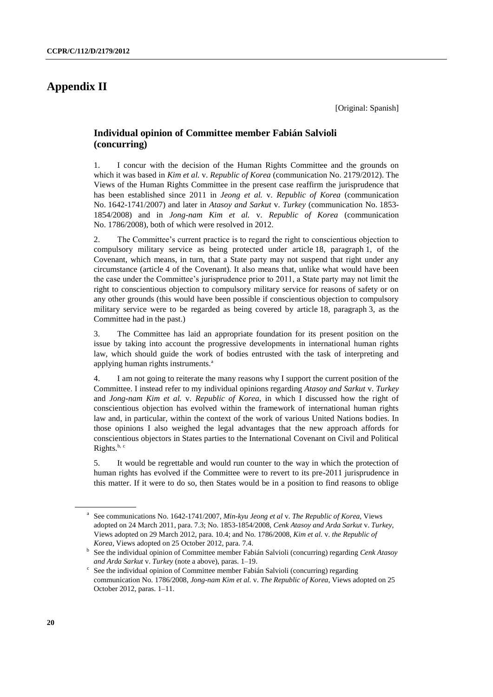# **Appendix II**

# **Individual opinion of Committee member Fabián Salvioli (concurring)**

1. I concur with the decision of the Human Rights Committee and the grounds on which it was based in *Kim et al.* v. *Republic of Korea* (communication No. 2179/2012). The Views of the Human Rights Committee in the present case reaffirm the jurisprudence that has been established since 2011 in *Jeong et al.* v. *Republic of Korea* (communication No. 1642-1741/2007) and later in *Atasoy and Sarkut* v. *Turkey* (communication No. 1853- 1854/2008) and in *Jong-nam Kim et al.* v. *Republic of Korea* (communication No. 1786/2008), both of which were resolved in 2012.

2. The Committee's current practice is to regard the right to conscientious objection to compulsory military service as being protected under article 18, paragraph 1, of the Covenant, which means, in turn, that a State party may not suspend that right under any circumstance (article 4 of the Covenant). It also means that, unlike what would have been the case under the Committee's jurisprudence prior to 2011, a State party may not limit the right to conscientious objection to compulsory military service for reasons of safety or on any other grounds (this would have been possible if conscientious objection to compulsory military service were to be regarded as being covered by article 18, paragraph 3, as the Committee had in the past.)

3. The Committee has laid an appropriate foundation for its present position on the issue by taking into account the progressive developments in international human rights law, which should guide the work of bodies entrusted with the task of interpreting and applying human rights instruments.<sup>a</sup>

4. I am not going to reiterate the many reasons why I support the current position of the Committee. I instead refer to my individual opinions regarding *Atasoy and Sarkut* v. *Turkey* and *Jong-nam Kim et al.* v. *Republic of Korea*, in which I discussed how the right of conscientious objection has evolved within the framework of international human rights law and, in particular, within the context of the work of various United Nations bodies. In those opinions I also weighed the legal advantages that the new approach affords for conscientious objectors in States parties to the International Covenant on Civil and Political Rights.<sup>b, c</sup>

5. It would be regrettable and would run counter to the way in which the protection of human rights has evolved if the Committee were to revert to its pre-2011 jurisprudence in this matter. If it were to do so, then States would be in a position to find reasons to oblige

a See communications No. 1642-1741/2007, *Min-kyu Jeong et al* v. *The Republic of Korea*, Views adopted on 24 March 2011, para. 7.3; No. 1853-1854/2008, *Cenk Atasoy and Arda Sarkut* v. *Turkey*, Views adopted on 29 March 2012, para. 10.4; and No. 1786/2008, *Kim et al.* v. *the Republic of Korea*, Views adopted on 25 October 2012, para. 7.4.

<sup>&</sup>lt;sup>b</sup> See the individual opinion of Committee member Fabián Salvioli (concurring) regarding *Cenk Atasoy and Arda Sarkut* v. *Turkey* (note a above), paras. 1–19.

c See the individual opinion of Committee member Fabián Salvioli (concurring) regarding communication No. 1786/2008, *Jong-nam Kim et al.* v. *The Republic of Korea*, Views adopted on 25 October 2012, paras. 1–11.